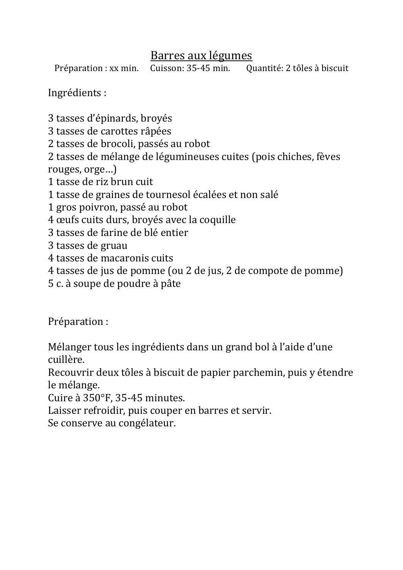## Barres aux légumes

Préparation : xx min. Cuisson: 35-45 min. Quantité: 2 tôles à biscuit

Ingrédients : 

3 tasses d'épinards, broyés 

3 tasses de carottes râpées

2 tasses de brocoli, passés au robot

2 tasses de mélange de légumineuses cuites (pois chiches, fèves rouges, orge...)

1 tasse de riz brun cuit

1 tasse de graines de tournesol écalées et non salé

1 gros poivron, passé au robot

4 œufs cuits durs, broyés avec la coquille

3 tasses de farine de blé entier

3 tasses de gruau

4 tasses de macaronis cuits

4 tasses de jus de pomme (ou 2 de jus, 2 de compote de pomme)

5 c. à soupe de poudre à pâte 

Préparation : 

Mélanger tous les ingrédients dans un grand bol à l'aide d'une cuillère. 

Recouvrir deux tôles à biscuit de papier parchemin, puis y étendre le mélange. 

Cuire à 350°F, 35-45 minutes.

Laisser refroidir, puis couper en barres et servir.

Se conserve au congélateur.